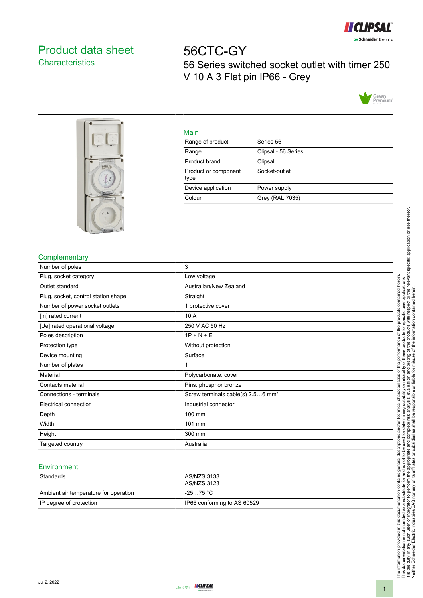

# <span id="page-0-0"></span>Product data sheet **Characteristics**

56CTC-GY 56 Series switched socket outlet with timer 250 V 10 A 3 Flat pin IP66 - Grey





|         | ۹ |
|---------|---|
| ×<br>__ |   |

| <u>iviali i</u>              |                     |
|------------------------------|---------------------|
| Range of product             | Series 56           |
| Range                        | Clipsal - 56 Series |
| Product brand                | Clipsal             |
| Product or component<br>type | Socket-outlet       |
| Device application           | Power supply        |
| Colour                       | Grey (RAL 7035)     |
|                              |                     |

## **Complementary**

| Number of poles                     | 3                                             |
|-------------------------------------|-----------------------------------------------|
| Plug, socket category               | Low voltage                                   |
| Outlet standard                     | Australian/New Zealand                        |
| Plug, socket, control station shape | Straight                                      |
| Number of power socket outlets      | 1 protective cover                            |
| [In] rated current                  | 10 A                                          |
| [Ue] rated operational voltage      | 250 V AC 50 Hz                                |
| Poles description                   | $1P + N + E$                                  |
| Protection type                     | Without protection                            |
| Device mounting                     | Surface                                       |
| Number of plates                    |                                               |
| Material                            | Polycarbonate: cover                          |
| Contacts material                   | Pins: phosphor bronze                         |
| Connections - terminals             | Screw terminals cable(s) 2.56 mm <sup>2</sup> |
| Electrical connection               | Industrial connector                          |
| Depth                               | 100 mm                                        |
| Width                               | 101 mm                                        |
| Height                              | 300 mm                                        |
| Targeted country                    | Australia                                     |

#### **Environment**

| Standards                             | AS/NZS 3133<br>AS/NZS 3123  |
|---------------------------------------|-----------------------------|
| Ambient air temperature for operation | -25…75 °C                   |
| IP degree of protection               | IP66 conforming to AS 60529 |